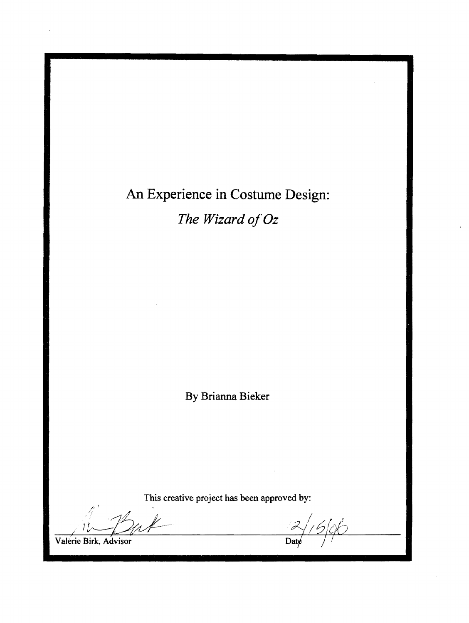## An Experience in Costume Design:

*The Wizard of Oz* 

By Brianna Bieker

This creative project has been approved by:

. I , *<sup>1</sup> cz*//6/06

Valerie Birk Advisor

Date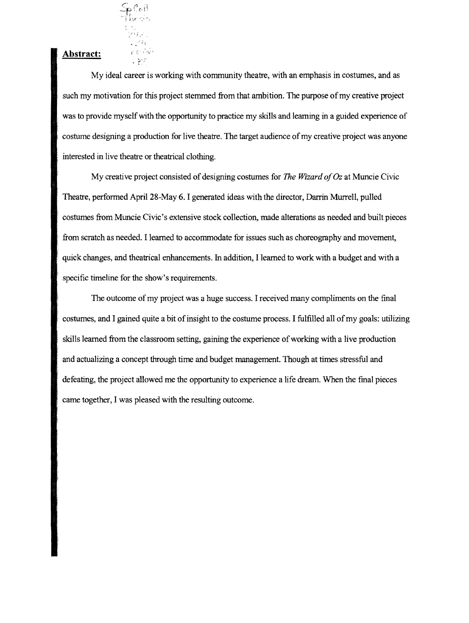

## Abstract:

My ideal career is working with community theatre, with an emphasis in costumes, and as such my motivation for this project stemmed from that ambition. The purpose of my creative project was to provide myself with the opportunity to practice my skills and learning in a guided experience of costume designing a production for live theatre. The target audience of my creative project was anyone interested in live theatre or theatrical clothing.

My creative project consisted of designing costumes for *The Wizard of* Oz at Muncie Civic Theatre, performed April 28-May 6. I generated ideas with the director, Darrin Murrell, pulled · costumes from Muncie Civic's extensive stock collection, made alterations as needed and built pieces • from scratch as needed. I learned to accommodate for issues such as choreography and movement, quick changes, and theatrical enhancements. In addition, I learned to work with a budget and with a specific timeline for the show's requirements.

The outcome of my project was a huge success. I received many compliments on the final costumes, and I gained quite a bit of insight to the costume process. I fulfilled all of my goals: utilizing skills learned from the classroom setting, gaining the experience of working with a live production and actualizing a concept through time and budget management. Though at times stressful and defeating, the project allowed me the opportunity to experience a life dream. When the final pieces came together, I was pleased with the resulting outcome.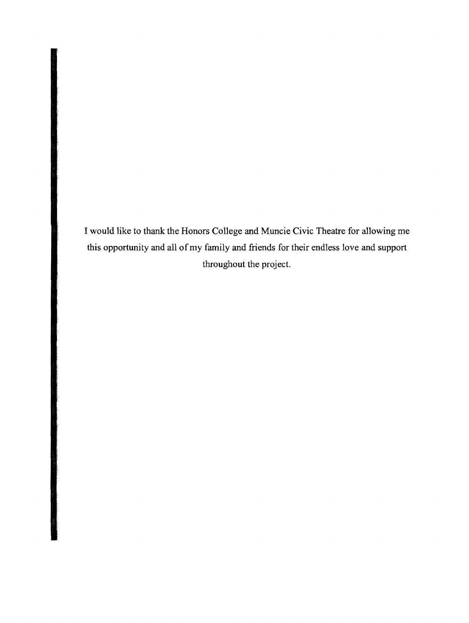I would like to thank the Honors College and Muncie Civic Theatre for allowing me this opportunity and all of my family and friends for their endless love and support throughout the project.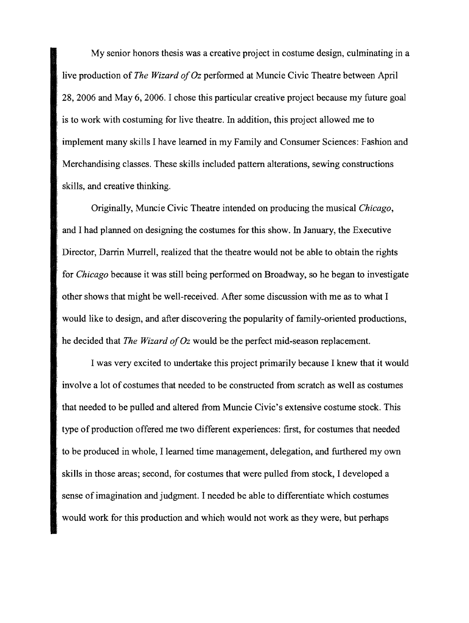My senior honors thesis was a creative project in costume design, culminating in a live production of *The Wizard of Oz* performed at Muncie Civic Theatre between April 28, 2006 and May 6, 2006. I chose this particular creative project because my future goal is to work with costuming for live theatre. In addition, this project allowed me to implement many skills I have learned in my Family and Consumer Sciences: Fashion and Merchandising classes. These skills included pattern alterations, sewing constructions skills, and creative thinking.

Originally, Muncie Civic Theatre intended on producing the musical *Chicago,*  and I had planned on designing the costumes for this show. In January, the Executive . Director, Darrin Murrell, realized that the theatre would not be able to obtain the rights for *Chicago* because it was still being performed on Broadway, so he began to investigate other shows that might be well-received. After some discussion with me as to what I would like to design, and after discovering the popularity of family-oriented productions, he decided that *The Wizard of Oz* would be the perfect mid-season replacement.

I was very excited to undertake this project primarily because I knew that it would . involve a lot of costumes that needed to be constructed from scratch as well as costumes that needed to be pulled and altered from Muncie Civic's extensive costume stock. This type of production offered me two different experiences: first, for costumes that needed to be produced in whole, I learned time management, delegation, and furthered my own skills in those areas; second, for costumes that were pulled from stock, I developed a sense of imagination and judgment. I needed be able to differentiate which costumes would work for this production and which would not work as they were, but perhaps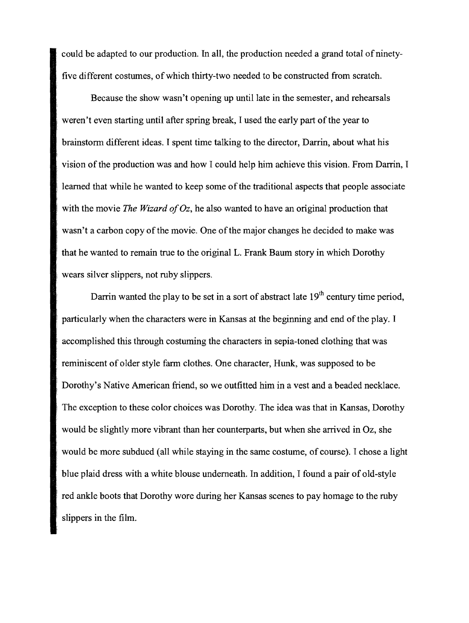could be adapted to our production. In all, the production needed a grand total of ninetyfive different costumes, of which thirty-two needed to be constructed from scratch.

Because the show wasn't opening up until late in the semester, and rehearsals weren't even starting until after spring break, I used the early part of the year to brainstorm different ideas. I spent time talking to the director, Darrin, about what his . vision of the production was and how I could help him achieve this vision. From Darrin, I learned that while he wanted to keep some of the traditional aspects that people associate with the movie *The Wizard of Oz,* he also wanted to have an original production that wasn't a carbon copy of the movie. One of the major changes he decided to make was that he wanted to remain true to the original L. Frank Baum story in which Dorothy wears silver slippers, not ruby slippers.

Darrin wanted the play to be set in a sort of abstract late  $19<sup>th</sup>$  century time period, particularly when the characters were in Kansas at the beginning and end of the play. I accomplished this through costuming the characters in sepia-toned clothing that was reminiscent of older style farm clothes. One character, Hunk, was supposed to be Dorothy's Native American friend, so we outfitted him in a vest and a beaded necklace. The exception to these color choices was Dorothy. The idea was that in Kansas, Dorothy would be slightly more vibrant than her counterparts, but when she arrived in Oz, she would be more subdued (all while staying in the same costume, of course). I chose a light blue plaid dress with a white blouse underneath. In addition, I found a pair of old-style red ankle boots that Dorothy wore during her Kansas scenes to pay homage to the ruby slippers in the film.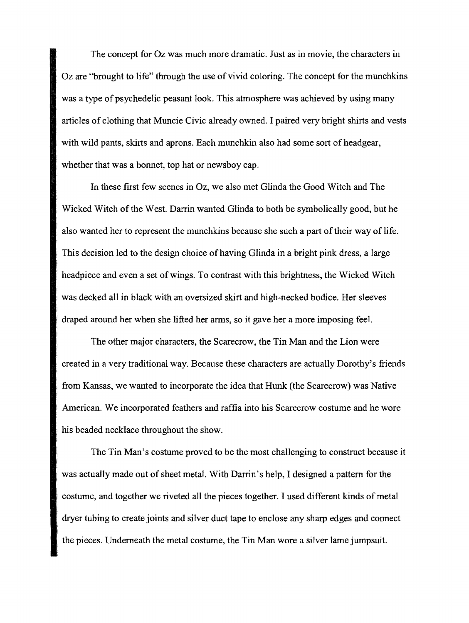The concept for Oz was much more dramatic. Just as in movie, the characters in Oz are "brought to life" through the use of vivid coloring. The concept for the munchkins was a type of psychedelic peasant look. This atmosphere was achieved by using many articles of clothing that Muncie Civic already owned. I paired very bright shirts and vests with wild pants, skirts and aprons. Each munchkin also had some sort of headgear, whether that was a bonnet, top hat or newsboy cap.

In these first few scenes in Oz, we also met Glinda the Good Witch and The Wicked Witch of the West. Darrin wanted Glinda to both be symbolically good, but he also wanted her to represent the munchkins because she such a part of their way of life. This decision led to the design choice of having Glinda in a bright pink dress, a large headpiece and even a set of wings. To contrast with this brightness, the Wicked Witch was decked all in black with an oversized skirt and high-necked bodice. Her sleeves draped around her when she lifted her arms, so it gave her a more imposing feel.

The other major characters, the Scarecrow, the Tin Man and the Lion were created in a very traditional way. Because these characters are actually Dorothy's friends from Kansas, we wanted to incorporate the idea that Hunk (the Scarecrow) was Native American. We incorporated feathers and raffia into his Scarecrow costume and he wore his beaded necklace throughout the show.

The Tin Man's costume proved to be the most challenging to construct because it was actually made out of sheet metal. With Darrin's help, I designed a pattern for the costume, and together we riveted all the pieces together. I used different kinds of metal dryer tubing to create joints and silver duct tape to enclose any sharp edges and connect the pieces. Underneath the metal costume, the Tin Man wore a silver lame jumpsuit.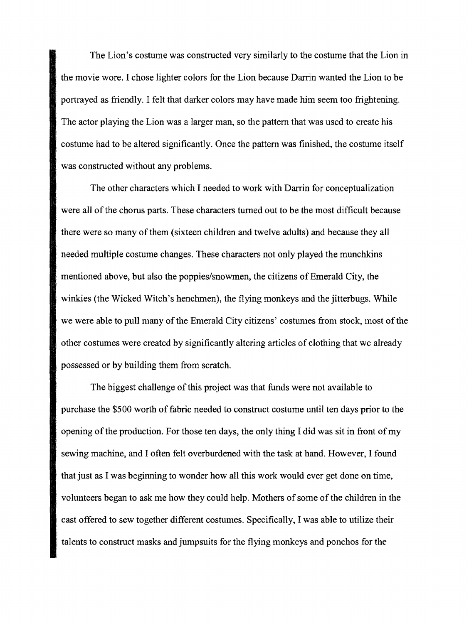The Lion's costume was constructed very similarly to the costume that the Lion in the movie wore. I chose lighter colors for the Lion because Darrin wanted the Lion to be portrayed as friendly. I felt that darker colors may have made him seem too frightening. The actor playing the Lion was a larger man, so the pattern that was used to create his costume had to be altered significantly. Once the pattern was finished, the costume itself . was constructed without any problems.

The other characters which I needed to work with Darrin for conceptualization were all of the chorus parts. These characters turned out to be the most difficult because there were so many of them (sixteen children and twelve adults) and because they all needed multiple costume changes. These characters not only played the munchkins mentioned above, but also the poppies/snowmen, the citizens of Emerald City, the winkies (the Wicked Witch's henchmen), the flying monkeys and the jitterbugs. While ' we were able to pull many of the Emerald City citizens' costumes from stock, most of the other costumes were created by significantly altering articles of clothing that we already possessed or by building them from scratch.

The biggest challenge of this project was that funds were not available to purchase the \$500 worth of fabric needed to construct costume until ten days prior to the opening of the production. For those ten days, the only thing I did was sit in front of my sewing machine, and I often felt overburdened with the task at hand. However, I found that just as I was beginning to wonder how all this work would ever get done on time, volunteers began to ask me how they could help. Mothers of some of the children in the cast offered to sew together different costumes. Specifically, I was able to utilize their talents to construct masks and jumpsuits for the flying monkeys and ponchos for the